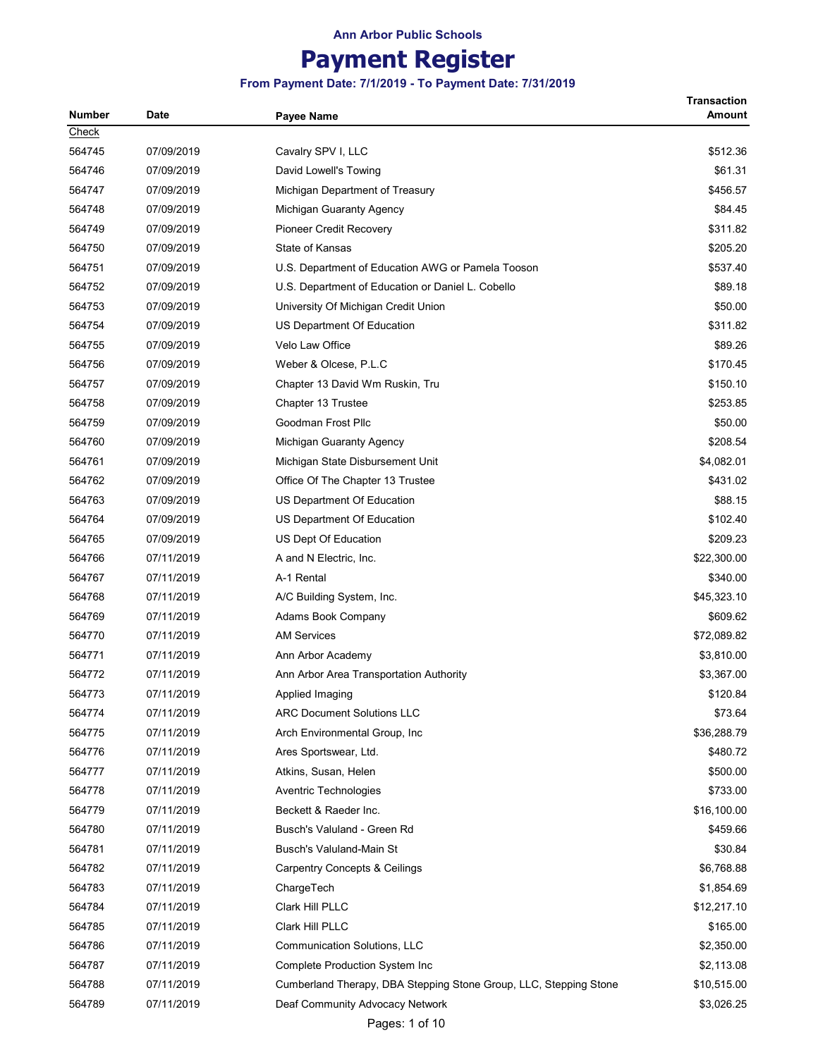# Payment Register

| Number | <b>Date</b> | Payee Name                                                        | Transaction<br>Amount |
|--------|-------------|-------------------------------------------------------------------|-----------------------|
| Check  |             |                                                                   |                       |
| 564745 | 07/09/2019  | Cavalry SPV I, LLC                                                | \$512.36              |
| 564746 | 07/09/2019  | David Lowell's Towing                                             | \$61.31               |
| 564747 | 07/09/2019  | Michigan Department of Treasury                                   | \$456.57              |
| 564748 | 07/09/2019  | Michigan Guaranty Agency                                          | \$84.45               |
| 564749 | 07/09/2019  | <b>Pioneer Credit Recovery</b>                                    | \$311.82              |
| 564750 | 07/09/2019  | State of Kansas                                                   | \$205.20              |
| 564751 | 07/09/2019  | U.S. Department of Education AWG or Pamela Tooson                 | \$537.40              |
| 564752 | 07/09/2019  | U.S. Department of Education or Daniel L. Cobello                 | \$89.18               |
| 564753 | 07/09/2019  | University Of Michigan Credit Union                               | \$50.00               |
| 564754 | 07/09/2019  | US Department Of Education                                        | \$311.82              |
| 564755 | 07/09/2019  | Velo Law Office                                                   | \$89.26               |
| 564756 | 07/09/2019  | Weber & Olcese, P.L.C                                             | \$170.45              |
| 564757 | 07/09/2019  | Chapter 13 David Wm Ruskin, Tru                                   | \$150.10              |
| 564758 | 07/09/2019  | Chapter 13 Trustee                                                | \$253.85              |
| 564759 | 07/09/2019  | Goodman Frost Pllc                                                | \$50.00               |
| 564760 | 07/09/2019  | Michigan Guaranty Agency                                          | \$208.54              |
| 564761 | 07/09/2019  | Michigan State Disbursement Unit                                  | \$4,082.01            |
| 564762 | 07/09/2019  | Office Of The Chapter 13 Trustee                                  | \$431.02              |
| 564763 | 07/09/2019  | US Department Of Education                                        | \$88.15               |
| 564764 | 07/09/2019  | US Department Of Education                                        | \$102.40              |
| 564765 | 07/09/2019  | US Dept Of Education                                              | \$209.23              |
| 564766 | 07/11/2019  | A and N Electric, Inc.                                            | \$22,300.00           |
| 564767 | 07/11/2019  | A-1 Rental                                                        | \$340.00              |
| 564768 | 07/11/2019  | A/C Building System, Inc.                                         | \$45,323.10           |
| 564769 | 07/11/2019  | Adams Book Company                                                | \$609.62              |
| 564770 | 07/11/2019  | <b>AM Services</b>                                                | \$72,089.82           |
| 564771 | 07/11/2019  | Ann Arbor Academy                                                 | \$3,810.00            |
| 564772 | 07/11/2019  | Ann Arbor Area Transportation Authority                           | \$3,367.00            |
| 564773 | 07/11/2019  | Applied Imaging                                                   | \$120.84              |
| 564774 | 07/11/2019  | <b>ARC Document Solutions LLC</b>                                 | \$73.64               |
| 564775 | 07/11/2019  | Arch Environmental Group, Inc.                                    | \$36,288.79           |
| 564776 | 07/11/2019  | Ares Sportswear, Ltd.                                             | \$480.72              |
| 564777 | 07/11/2019  | Atkins, Susan, Helen                                              | \$500.00              |
| 564778 | 07/11/2019  | Aventric Technologies                                             | \$733.00              |
| 564779 | 07/11/2019  | Beckett & Raeder Inc.                                             | \$16,100.00           |
| 564780 | 07/11/2019  | Busch's Valuland - Green Rd                                       | \$459.66              |
| 564781 | 07/11/2019  | Busch's Valuland-Main St                                          | \$30.84               |
| 564782 | 07/11/2019  | <b>Carpentry Concepts &amp; Ceilings</b>                          | \$6,768.88            |
| 564783 | 07/11/2019  | ChargeTech                                                        | \$1,854.69            |
| 564784 | 07/11/2019  | Clark Hill PLLC                                                   | \$12,217.10           |
| 564785 | 07/11/2019  | Clark Hill PLLC                                                   | \$165.00              |
| 564786 | 07/11/2019  | Communication Solutions, LLC                                      | \$2,350.00            |
| 564787 | 07/11/2019  | Complete Production System Inc                                    | \$2,113.08            |
| 564788 | 07/11/2019  | Cumberland Therapy, DBA Stepping Stone Group, LLC, Stepping Stone | \$10,515.00           |
| 564789 | 07/11/2019  | Deaf Community Advocacy Network                                   | \$3,026.25            |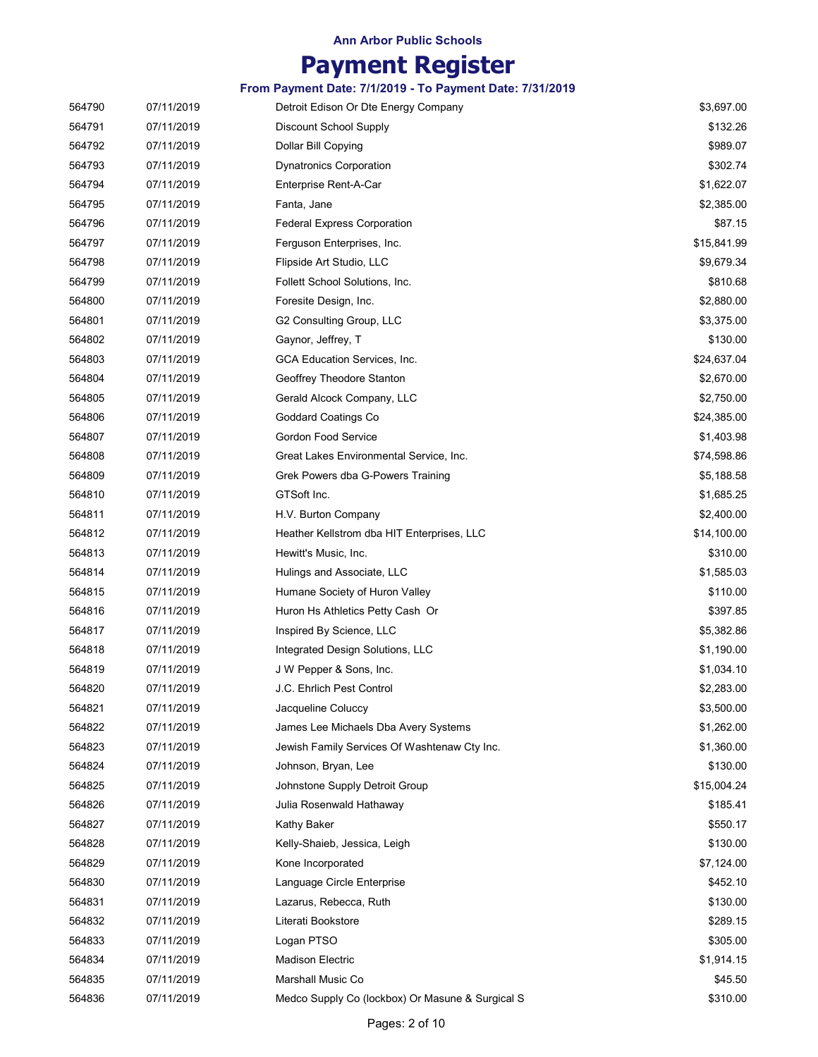# Payment Register

| 564790 | 07/11/2019 | Detroit Edison Or Dte Energy Company             | \$3,697.00  |
|--------|------------|--------------------------------------------------|-------------|
| 564791 | 07/11/2019 | <b>Discount School Supply</b>                    | \$132.26    |
| 564792 | 07/11/2019 | Dollar Bill Copying                              | \$989.07    |
| 564793 | 07/11/2019 | <b>Dynatronics Corporation</b>                   | \$302.74    |
| 564794 | 07/11/2019 | Enterprise Rent-A-Car                            | \$1,622.07  |
| 564795 | 07/11/2019 | Fanta, Jane                                      | \$2,385.00  |
| 564796 | 07/11/2019 | <b>Federal Express Corporation</b>               | \$87.15     |
| 564797 | 07/11/2019 | Ferguson Enterprises, Inc.                       | \$15,841.99 |
| 564798 | 07/11/2019 | Flipside Art Studio, LLC                         | \$9,679.34  |
| 564799 | 07/11/2019 | Follett School Solutions, Inc.                   | \$810.68    |
| 564800 | 07/11/2019 | Foresite Design, Inc.                            | \$2,880.00  |
| 564801 | 07/11/2019 | G2 Consulting Group, LLC                         | \$3,375.00  |
| 564802 | 07/11/2019 | Gaynor, Jeffrey, T                               | \$130.00    |
| 564803 | 07/11/2019 | GCA Education Services, Inc.                     | \$24,637.04 |
| 564804 | 07/11/2019 | Geoffrey Theodore Stanton                        | \$2,670.00  |
| 564805 | 07/11/2019 | Gerald Alcock Company, LLC                       | \$2,750.00  |
| 564806 | 07/11/2019 | Goddard Coatings Co                              | \$24,385.00 |
| 564807 | 07/11/2019 | <b>Gordon Food Service</b>                       | \$1,403.98  |
| 564808 | 07/11/2019 | Great Lakes Environmental Service, Inc.          | \$74,598.86 |
| 564809 | 07/11/2019 | Grek Powers dba G-Powers Training                | \$5,188.58  |
| 564810 | 07/11/2019 | GTSoft Inc.                                      | \$1,685.25  |
| 564811 | 07/11/2019 | H.V. Burton Company                              | \$2,400.00  |
| 564812 | 07/11/2019 | Heather Kellstrom dba HIT Enterprises, LLC       | \$14,100.00 |
| 564813 | 07/11/2019 | Hewitt's Music, Inc.                             | \$310.00    |
| 564814 | 07/11/2019 | Hulings and Associate, LLC                       | \$1,585.03  |
| 564815 | 07/11/2019 | Humane Society of Huron Valley                   | \$110.00    |
| 564816 | 07/11/2019 | Huron Hs Athletics Petty Cash Or                 | \$397.85    |
| 564817 | 07/11/2019 | Inspired By Science, LLC                         | \$5,382.86  |
| 564818 | 07/11/2019 | Integrated Design Solutions, LLC                 | \$1,190.00  |
| 564819 | 07/11/2019 | J W Pepper & Sons, Inc.                          | \$1,034.10  |
| 564820 | 07/11/2019 | J.C. Ehrlich Pest Control                        | \$2,283.00  |
| 564821 | 07/11/2019 | Jacqueline Coluccy                               | \$3,500.00  |
| 564822 | 07/11/2019 | James Lee Michaels Dba Avery Systems             | \$1,262.00  |
| 564823 | 07/11/2019 | Jewish Family Services Of Washtenaw Cty Inc.     | \$1,360.00  |
| 564824 | 07/11/2019 | Johnson, Bryan, Lee                              | \$130.00    |
| 564825 | 07/11/2019 | Johnstone Supply Detroit Group                   | \$15,004.24 |
| 564826 | 07/11/2019 | Julia Rosenwald Hathaway                         | \$185.41    |
| 564827 | 07/11/2019 | Kathy Baker                                      | \$550.17    |
| 564828 | 07/11/2019 | Kelly-Shaieb, Jessica, Leigh                     | \$130.00    |
| 564829 | 07/11/2019 | Kone Incorporated                                | \$7,124.00  |
| 564830 | 07/11/2019 | Language Circle Enterprise                       | \$452.10    |
| 564831 | 07/11/2019 | Lazarus, Rebecca, Ruth                           | \$130.00    |
| 564832 | 07/11/2019 | Literati Bookstore                               | \$289.15    |
| 564833 | 07/11/2019 | Logan PTSO                                       | \$305.00    |
| 564834 | 07/11/2019 | <b>Madison Electric</b>                          | \$1,914.15  |
| 564835 | 07/11/2019 | Marshall Music Co                                | \$45.50     |
| 564836 | 07/11/2019 | Medco Supply Co (lockbox) Or Masune & Surgical S | \$310.00    |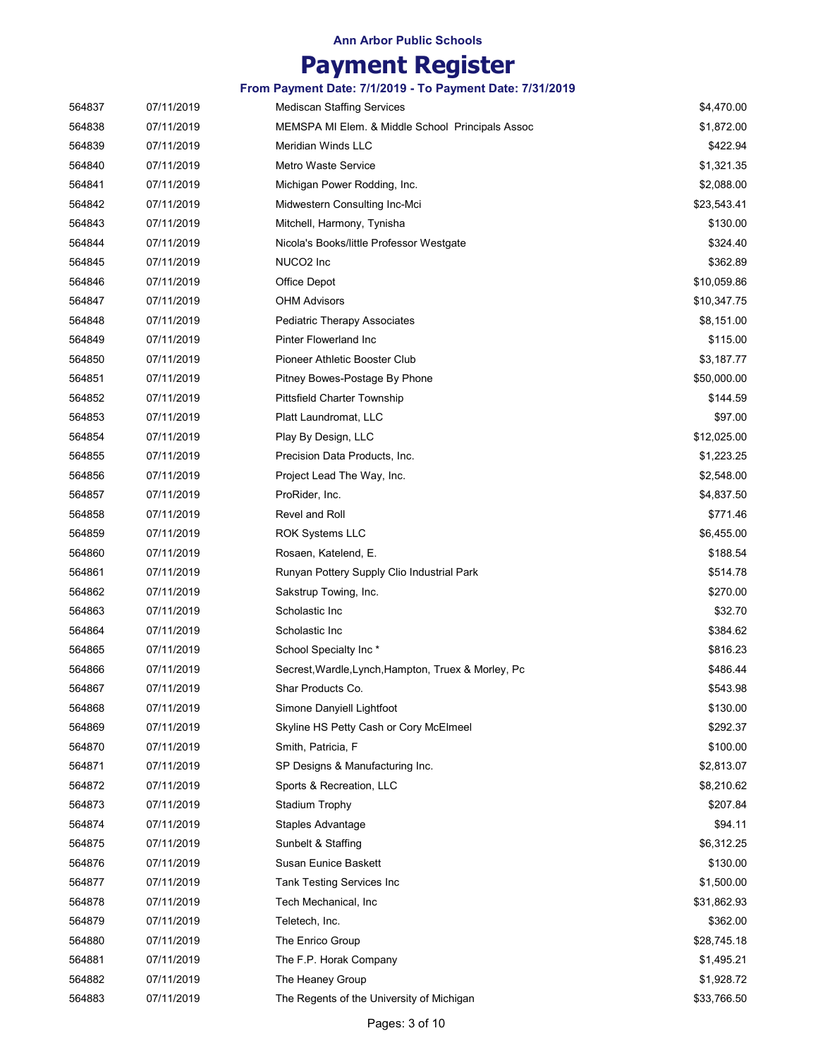# Payment Register

| 564837 | 07/11/2019 | <b>Mediscan Staffing Services</b>                   | \$4,470.00  |
|--------|------------|-----------------------------------------------------|-------------|
| 564838 | 07/11/2019 | MEMSPA MI Elem. & Middle School Principals Assoc    | \$1,872.00  |
| 564839 | 07/11/2019 | Meridian Winds LLC                                  | \$422.94    |
| 564840 | 07/11/2019 | <b>Metro Waste Service</b>                          | \$1,321.35  |
| 564841 | 07/11/2019 | Michigan Power Rodding, Inc.                        | \$2,088.00  |
| 564842 | 07/11/2019 | Midwestern Consulting Inc-Mci                       | \$23,543.41 |
| 564843 | 07/11/2019 | Mitchell, Harmony, Tynisha                          | \$130.00    |
| 564844 | 07/11/2019 | Nicola's Books/little Professor Westgate            | \$324.40    |
| 564845 | 07/11/2019 | NUCO2 Inc                                           | \$362.89    |
| 564846 | 07/11/2019 | Office Depot                                        | \$10,059.86 |
| 564847 | 07/11/2019 | <b>OHM Advisors</b>                                 | \$10,347.75 |
| 564848 | 07/11/2019 | <b>Pediatric Therapy Associates</b>                 | \$8,151.00  |
| 564849 | 07/11/2019 | Pinter Flowerland Inc                               | \$115.00    |
| 564850 | 07/11/2019 | Pioneer Athletic Booster Club                       | \$3,187.77  |
| 564851 | 07/11/2019 | Pitney Bowes-Postage By Phone                       | \$50,000.00 |
| 564852 | 07/11/2019 | Pittsfield Charter Township                         | \$144.59    |
| 564853 | 07/11/2019 | Platt Laundromat, LLC                               | \$97.00     |
| 564854 | 07/11/2019 | Play By Design, LLC                                 | \$12,025.00 |
| 564855 | 07/11/2019 | Precision Data Products, Inc.                       | \$1,223.25  |
| 564856 | 07/11/2019 | Project Lead The Way, Inc.                          | \$2,548.00  |
| 564857 | 07/11/2019 | ProRider, Inc.                                      | \$4,837.50  |
| 564858 | 07/11/2019 | Revel and Roll                                      | \$771.46    |
| 564859 | 07/11/2019 | <b>ROK Systems LLC</b>                              | \$6,455.00  |
| 564860 | 07/11/2019 | Rosaen, Katelend, E.                                | \$188.54    |
| 564861 | 07/11/2019 | Runyan Pottery Supply Clio Industrial Park          | \$514.78    |
| 564862 | 07/11/2019 | Sakstrup Towing, Inc.                               | \$270.00    |
| 564863 | 07/11/2019 | Scholastic Inc                                      | \$32.70     |
| 564864 | 07/11/2019 | Scholastic Inc                                      | \$384.62    |
| 564865 | 07/11/2019 | School Specialty Inc*                               | \$816.23    |
| 564866 | 07/11/2019 | Secrest, Wardle, Lynch, Hampton, Truex & Morley, Pc | \$486.44    |
| 564867 | 07/11/2019 | Shar Products Co.                                   | \$543.98    |
| 564868 | 07/11/2019 | Simone Danyiell Lightfoot                           | \$130.00    |
| 564869 | 07/11/2019 | Skyline HS Petty Cash or Cory McElmeel              | \$292.37    |
| 564870 | 07/11/2019 | Smith, Patricia, F                                  | \$100.00    |
| 564871 | 07/11/2019 | SP Designs & Manufacturing Inc.                     | \$2,813.07  |
| 564872 | 07/11/2019 | Sports & Recreation, LLC                            | \$8,210.62  |
| 564873 | 07/11/2019 | <b>Stadium Trophy</b>                               | \$207.84    |
| 564874 | 07/11/2019 | Staples Advantage                                   | \$94.11     |
| 564875 | 07/11/2019 | Sunbelt & Staffing                                  | \$6,312.25  |
| 564876 | 07/11/2019 | <b>Susan Eunice Baskett</b>                         | \$130.00    |
| 564877 | 07/11/2019 | Tank Testing Services Inc                           | \$1,500.00  |
| 564878 | 07/11/2019 | Tech Mechanical, Inc.                               | \$31,862.93 |
| 564879 | 07/11/2019 | Teletech, Inc.                                      | \$362.00    |
| 564880 | 07/11/2019 | The Enrico Group                                    | \$28,745.18 |
| 564881 | 07/11/2019 | The F.P. Horak Company                              | \$1,495.21  |
| 564882 | 07/11/2019 | The Heaney Group                                    | \$1,928.72  |
| 564883 | 07/11/2019 | The Regents of the University of Michigan           | \$33,766.50 |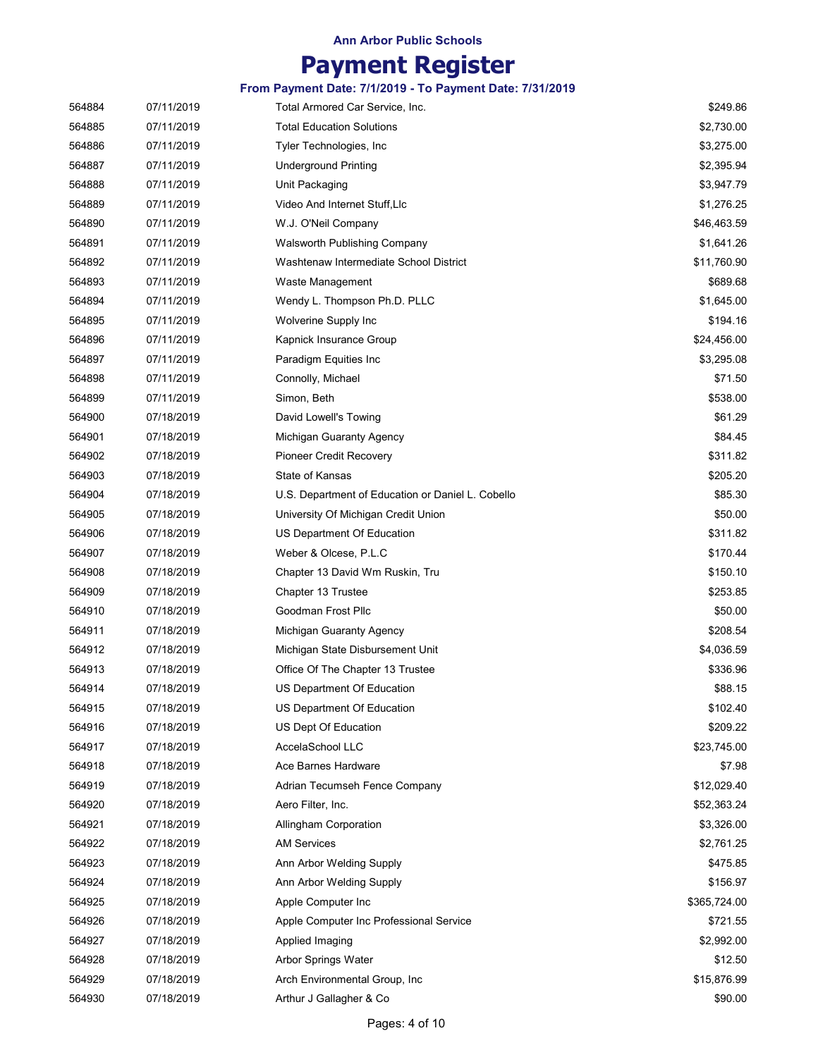# Payment Register

| 564884 | 07/11/2019 | Total Armored Car Service, Inc.                   | \$249.86     |
|--------|------------|---------------------------------------------------|--------------|
| 564885 | 07/11/2019 | <b>Total Education Solutions</b>                  | \$2,730.00   |
| 564886 | 07/11/2019 | Tyler Technologies, Inc.                          | \$3,275.00   |
| 564887 | 07/11/2019 | <b>Underground Printing</b>                       | \$2,395.94   |
| 564888 | 07/11/2019 | Unit Packaging                                    | \$3,947.79   |
| 564889 | 07/11/2019 | Video And Internet Stuff, Llc                     | \$1,276.25   |
| 564890 | 07/11/2019 | W.J. O'Neil Company                               | \$46,463.59  |
| 564891 | 07/11/2019 | Walsworth Publishing Company                      | \$1,641.26   |
| 564892 | 07/11/2019 | Washtenaw Intermediate School District            | \$11,760.90  |
| 564893 | 07/11/2019 | Waste Management                                  | \$689.68     |
| 564894 | 07/11/2019 | Wendy L. Thompson Ph.D. PLLC                      | \$1,645.00   |
| 564895 | 07/11/2019 | Wolverine Supply Inc                              | \$194.16     |
| 564896 | 07/11/2019 | Kapnick Insurance Group                           | \$24,456.00  |
| 564897 | 07/11/2019 | Paradigm Equities Inc                             | \$3,295.08   |
| 564898 | 07/11/2019 | Connolly, Michael                                 | \$71.50      |
| 564899 | 07/11/2019 | Simon, Beth                                       | \$538.00     |
| 564900 | 07/18/2019 | David Lowell's Towing                             | \$61.29      |
| 564901 | 07/18/2019 | Michigan Guaranty Agency                          | \$84.45      |
| 564902 | 07/18/2019 | Pioneer Credit Recovery                           | \$311.82     |
| 564903 | 07/18/2019 | State of Kansas                                   | \$205.20     |
| 564904 | 07/18/2019 | U.S. Department of Education or Daniel L. Cobello | \$85.30      |
| 564905 | 07/18/2019 | University Of Michigan Credit Union               | \$50.00      |
| 564906 | 07/18/2019 | US Department Of Education                        | \$311.82     |
| 564907 | 07/18/2019 | Weber & Olcese, P.L.C                             | \$170.44     |
| 564908 | 07/18/2019 | Chapter 13 David Wm Ruskin, Tru                   | \$150.10     |
| 564909 | 07/18/2019 | Chapter 13 Trustee                                | \$253.85     |
| 564910 | 07/18/2019 | Goodman Frost Pllc                                | \$50.00      |
| 564911 | 07/18/2019 | Michigan Guaranty Agency                          | \$208.54     |
| 564912 | 07/18/2019 | Michigan State Disbursement Unit                  | \$4,036.59   |
| 564913 | 07/18/2019 | Office Of The Chapter 13 Trustee                  | \$336.96     |
| 564914 | 07/18/2019 | US Department Of Education                        | \$88.15      |
| 564915 | 07/18/2019 | US Department Of Education                        | \$102.40     |
| 564916 | 07/18/2019 | US Dept Of Education                              | \$209.22     |
| 564917 | 07/18/2019 | AccelaSchool LLC                                  | \$23,745.00  |
| 564918 | 07/18/2019 | Ace Barnes Hardware                               | \$7.98       |
| 564919 | 07/18/2019 | Adrian Tecumseh Fence Company                     | \$12,029.40  |
| 564920 | 07/18/2019 | Aero Filter, Inc.                                 | \$52,363.24  |
| 564921 | 07/18/2019 | Allingham Corporation                             | \$3,326.00   |
| 564922 | 07/18/2019 | <b>AM Services</b>                                | \$2,761.25   |
| 564923 | 07/18/2019 | Ann Arbor Welding Supply                          | \$475.85     |
| 564924 | 07/18/2019 | Ann Arbor Welding Supply                          | \$156.97     |
| 564925 | 07/18/2019 | Apple Computer Inc                                | \$365,724.00 |
| 564926 | 07/18/2019 | Apple Computer Inc Professional Service           | \$721.55     |
| 564927 | 07/18/2019 | Applied Imaging                                   | \$2,992.00   |
| 564928 | 07/18/2019 | Arbor Springs Water                               | \$12.50      |
| 564929 | 07/18/2019 | Arch Environmental Group, Inc.                    | \$15,876.99  |
| 564930 | 07/18/2019 | Arthur J Gallagher & Co                           | \$90.00      |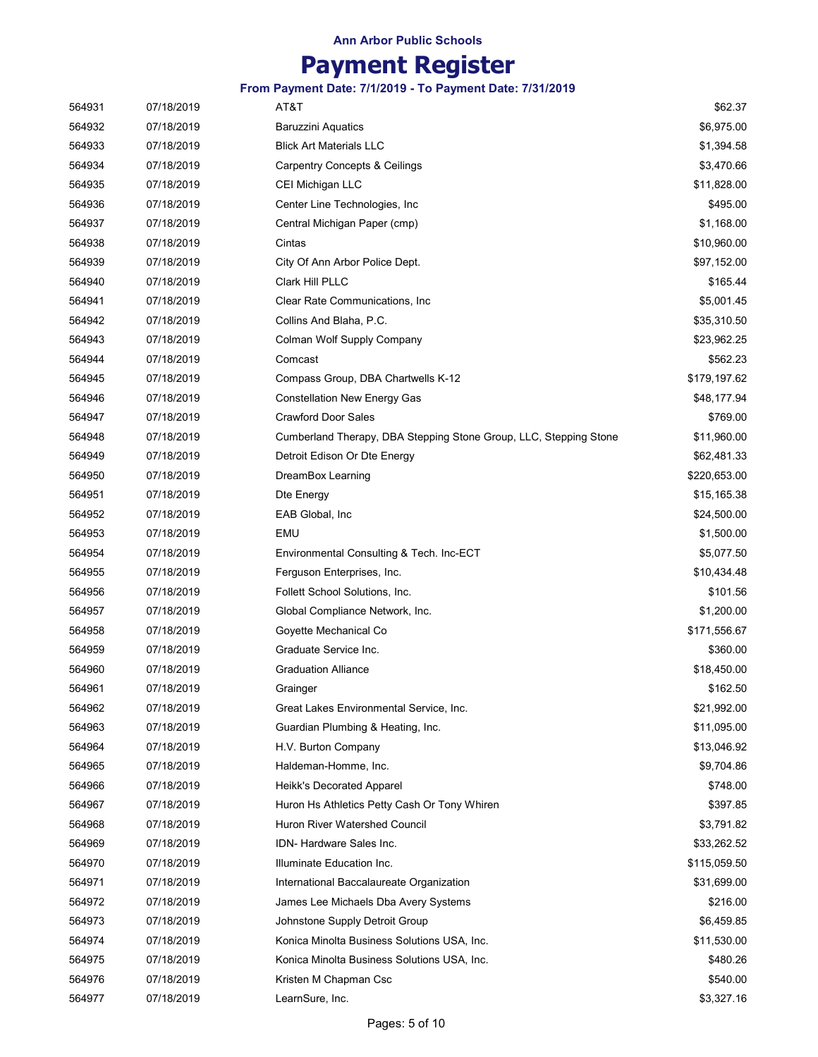# Payment Register

| 564931 | 07/18/2019 | AT&T                                                              | \$62.37      |
|--------|------------|-------------------------------------------------------------------|--------------|
| 564932 | 07/18/2019 | <b>Baruzzini Aquatics</b>                                         | \$6,975.00   |
| 564933 | 07/18/2019 | <b>Blick Art Materials LLC</b>                                    | \$1,394.58   |
| 564934 | 07/18/2019 | <b>Carpentry Concepts &amp; Ceilings</b>                          | \$3,470.66   |
| 564935 | 07/18/2019 | CEI Michigan LLC                                                  | \$11,828.00  |
| 564936 | 07/18/2019 | Center Line Technologies, Inc.                                    | \$495.00     |
| 564937 | 07/18/2019 | Central Michigan Paper (cmp)                                      | \$1,168.00   |
| 564938 | 07/18/2019 | Cintas                                                            | \$10,960.00  |
| 564939 | 07/18/2019 | City Of Ann Arbor Police Dept.                                    | \$97,152.00  |
| 564940 | 07/18/2019 | Clark Hill PLLC                                                   | \$165.44     |
| 564941 | 07/18/2019 | Clear Rate Communications, Inc.                                   | \$5,001.45   |
| 564942 | 07/18/2019 | Collins And Blaha, P.C.                                           | \$35,310.50  |
| 564943 | 07/18/2019 | Colman Wolf Supply Company                                        | \$23,962.25  |
| 564944 | 07/18/2019 | Comcast                                                           | \$562.23     |
| 564945 | 07/18/2019 | Compass Group, DBA Chartwells K-12                                | \$179,197.62 |
| 564946 | 07/18/2019 | <b>Constellation New Energy Gas</b>                               | \$48,177.94  |
| 564947 | 07/18/2019 | <b>Crawford Door Sales</b>                                        | \$769.00     |
| 564948 | 07/18/2019 | Cumberland Therapy, DBA Stepping Stone Group, LLC, Stepping Stone | \$11,960.00  |
| 564949 | 07/18/2019 | Detroit Edison Or Dte Energy                                      | \$62,481.33  |
| 564950 | 07/18/2019 | DreamBox Learning                                                 | \$220,653.00 |
| 564951 | 07/18/2019 | Dte Energy                                                        | \$15,165.38  |
| 564952 | 07/18/2019 | EAB Global, Inc                                                   | \$24,500.00  |
| 564953 | 07/18/2019 | EMU                                                               | \$1,500.00   |
| 564954 | 07/18/2019 | Environmental Consulting & Tech. Inc-ECT                          | \$5,077.50   |
| 564955 | 07/18/2019 | Ferguson Enterprises, Inc.                                        | \$10,434.48  |
| 564956 | 07/18/2019 | Follett School Solutions, Inc.                                    | \$101.56     |
| 564957 | 07/18/2019 | Global Compliance Network, Inc.                                   | \$1,200.00   |
| 564958 | 07/18/2019 | Goyette Mechanical Co                                             | \$171,556.67 |
| 564959 | 07/18/2019 | Graduate Service Inc.                                             | \$360.00     |
| 564960 | 07/18/2019 | <b>Graduation Alliance</b>                                        | \$18,450.00  |
| 564961 | 07/18/2019 | Grainger                                                          | \$162.50     |
| 564962 | 07/18/2019 | Great Lakes Environmental Service, Inc.                           | \$21,992.00  |
| 564963 | 07/18/2019 | Guardian Plumbing & Heating, Inc.                                 | \$11,095.00  |
| 564964 | 07/18/2019 | H.V. Burton Company                                               | \$13,046.92  |
| 564965 | 07/18/2019 | Haldeman-Homme, Inc.                                              | \$9,704.86   |
| 564966 | 07/18/2019 | Heikk's Decorated Apparel                                         | \$748.00     |
| 564967 | 07/18/2019 | Huron Hs Athletics Petty Cash Or Tony Whiren                      | \$397.85     |
| 564968 | 07/18/2019 | Huron River Watershed Council                                     | \$3,791.82   |
| 564969 | 07/18/2019 | IDN- Hardware Sales Inc.                                          | \$33,262.52  |
| 564970 | 07/18/2019 | Illuminate Education Inc.                                         | \$115,059.50 |
| 564971 | 07/18/2019 | International Baccalaureate Organization                          | \$31,699.00  |
| 564972 | 07/18/2019 | James Lee Michaels Dba Avery Systems                              | \$216.00     |
| 564973 | 07/18/2019 | Johnstone Supply Detroit Group                                    | \$6,459.85   |
| 564974 | 07/18/2019 | Konica Minolta Business Solutions USA, Inc.                       | \$11,530.00  |
| 564975 | 07/18/2019 | Konica Minolta Business Solutions USA, Inc.                       | \$480.26     |
| 564976 | 07/18/2019 | Kristen M Chapman Csc                                             | \$540.00     |
| 564977 | 07/18/2019 | LearnSure, Inc.                                                   | \$3,327.16   |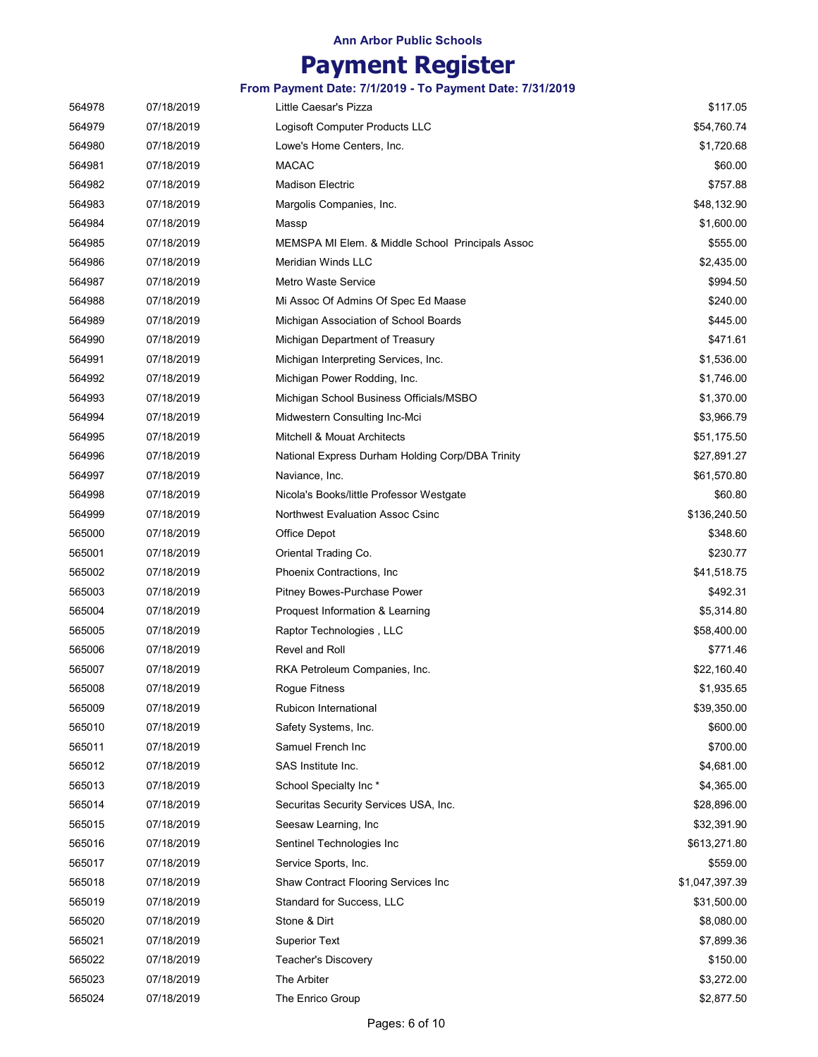# Payment Register

| 564978 | 07/18/2019 | Little Caesar's Pizza                            | \$117.05       |
|--------|------------|--------------------------------------------------|----------------|
| 564979 | 07/18/2019 | Logisoft Computer Products LLC                   | \$54,760.74    |
| 564980 | 07/18/2019 | Lowe's Home Centers, Inc.                        | \$1,720.68     |
| 564981 | 07/18/2019 | <b>MACAC</b>                                     | \$60.00        |
| 564982 | 07/18/2019 | <b>Madison Electric</b>                          | \$757.88       |
| 564983 | 07/18/2019 | Margolis Companies, Inc.                         | \$48,132.90    |
| 564984 | 07/18/2019 | Massp                                            | \$1,600.00     |
| 564985 | 07/18/2019 | MEMSPA MI Elem. & Middle School Principals Assoc | \$555.00       |
| 564986 | 07/18/2019 | Meridian Winds LLC                               | \$2,435.00     |
| 564987 | 07/18/2019 | Metro Waste Service                              | \$994.50       |
| 564988 | 07/18/2019 | Mi Assoc Of Admins Of Spec Ed Maase              | \$240.00       |
| 564989 | 07/18/2019 | Michigan Association of School Boards            | \$445.00       |
| 564990 | 07/18/2019 | Michigan Department of Treasury                  | \$471.61       |
| 564991 | 07/18/2019 | Michigan Interpreting Services, Inc.             | \$1,536.00     |
| 564992 | 07/18/2019 | Michigan Power Rodding, Inc.                     | \$1,746.00     |
| 564993 | 07/18/2019 | Michigan School Business Officials/MSBO          | \$1,370.00     |
| 564994 | 07/18/2019 | Midwestern Consulting Inc-Mci                    | \$3,966.79     |
| 564995 | 07/18/2019 | Mitchell & Mouat Architects                      | \$51,175.50    |
| 564996 | 07/18/2019 | National Express Durham Holding Corp/DBA Trinity | \$27,891.27    |
| 564997 | 07/18/2019 | Naviance, Inc.                                   | \$61,570.80    |
| 564998 | 07/18/2019 | Nicola's Books/little Professor Westgate         | \$60.80        |
| 564999 | 07/18/2019 | Northwest Evaluation Assoc Csinc                 | \$136,240.50   |
| 565000 | 07/18/2019 | Office Depot                                     | \$348.60       |
| 565001 | 07/18/2019 | Oriental Trading Co.                             | \$230.77       |
| 565002 | 07/18/2019 | Phoenix Contractions, Inc.                       | \$41,518.75    |
| 565003 | 07/18/2019 | Pitney Bowes-Purchase Power                      | \$492.31       |
| 565004 | 07/18/2019 | Proquest Information & Learning                  | \$5,314.80     |
| 565005 | 07/18/2019 | Raptor Technologies, LLC                         | \$58,400.00    |
| 565006 | 07/18/2019 | Revel and Roll                                   | \$771.46       |
| 565007 | 07/18/2019 | RKA Petroleum Companies, Inc.                    | \$22,160.40    |
| 565008 | 07/18/2019 | <b>Rogue Fitness</b>                             | \$1,935.65     |
| 565009 | 07/18/2019 | Rubicon International                            | \$39,350.00    |
| 565010 | 07/18/2019 | Safety Systems, Inc.                             | \$600.00       |
| 565011 | 07/18/2019 | Samuel French Inc                                | \$700.00       |
| 565012 | 07/18/2019 | SAS Institute Inc.                               | \$4,681.00     |
| 565013 | 07/18/2019 | School Specialty Inc*                            | \$4,365.00     |
| 565014 | 07/18/2019 | Securitas Security Services USA, Inc.            | \$28,896.00    |
| 565015 | 07/18/2019 | Seesaw Learning, Inc.                            | \$32,391.90    |
| 565016 | 07/18/2019 | Sentinel Technologies Inc                        | \$613,271.80   |
| 565017 | 07/18/2019 | Service Sports, Inc.                             | \$559.00       |
| 565018 | 07/18/2019 | Shaw Contract Flooring Services Inc              | \$1,047,397.39 |
| 565019 | 07/18/2019 | Standard for Success, LLC                        | \$31,500.00    |
| 565020 | 07/18/2019 | Stone & Dirt                                     | \$8,080.00     |
| 565021 | 07/18/2019 | <b>Superior Text</b>                             | \$7,899.36     |
| 565022 | 07/18/2019 | Teacher's Discovery                              | \$150.00       |
| 565023 | 07/18/2019 | The Arbiter                                      | \$3,272.00     |
| 565024 | 07/18/2019 | The Enrico Group                                 | \$2,877.50     |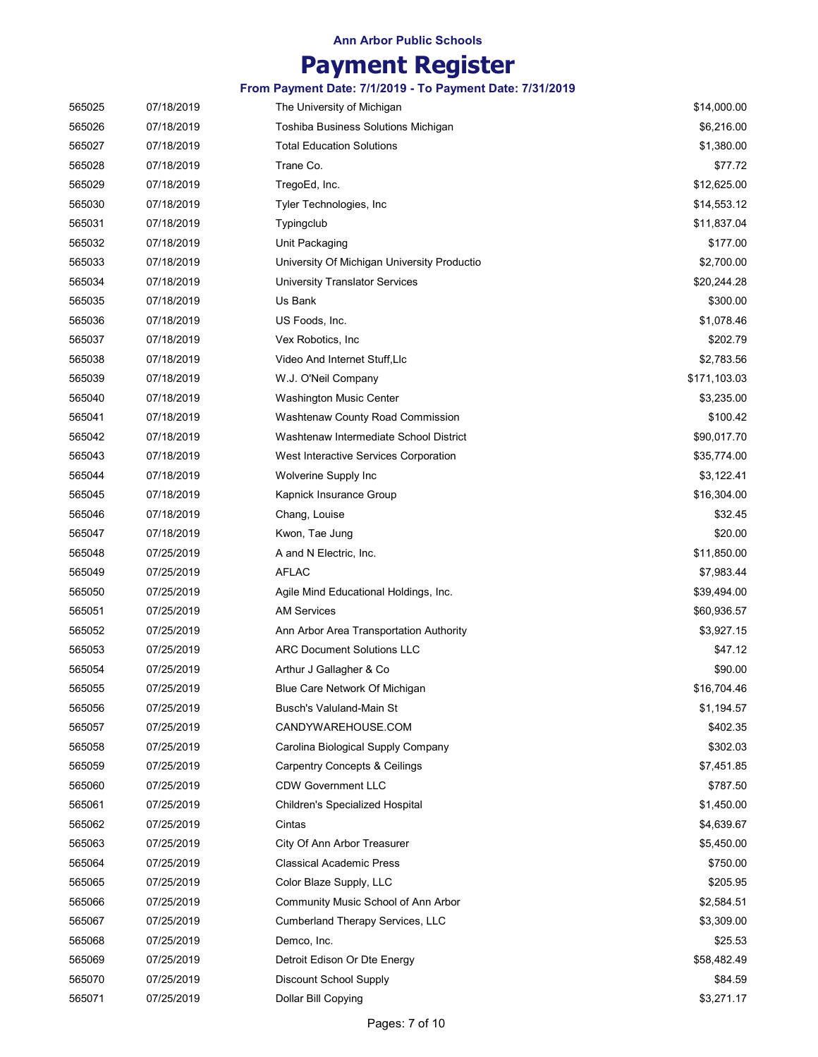## Payment Register

| 565025 | 07/18/2019 | The University of Michigan                  | \$14,000.00  |
|--------|------------|---------------------------------------------|--------------|
| 565026 | 07/18/2019 | Toshiba Business Solutions Michigan         | \$6,216.00   |
| 565027 | 07/18/2019 | <b>Total Education Solutions</b>            | \$1,380.00   |
| 565028 | 07/18/2019 | Trane Co.                                   | \$77.72      |
| 565029 | 07/18/2019 | TregoEd, Inc.                               | \$12,625.00  |
| 565030 | 07/18/2019 | Tyler Technologies, Inc.                    | \$14,553.12  |
| 565031 | 07/18/2019 | Typingclub                                  | \$11,837.04  |
| 565032 | 07/18/2019 | Unit Packaging                              | \$177.00     |
| 565033 | 07/18/2019 | University Of Michigan University Productio | \$2,700.00   |
| 565034 | 07/18/2019 | <b>University Translator Services</b>       | \$20,244.28  |
| 565035 | 07/18/2019 | Us Bank                                     | \$300.00     |
| 565036 | 07/18/2019 | US Foods, Inc.                              | \$1,078.46   |
| 565037 | 07/18/2019 | Vex Robotics, Inc.                          | \$202.79     |
| 565038 | 07/18/2019 | Video And Internet Stuff, Llc               | \$2,783.56   |
| 565039 | 07/18/2019 | W.J. O'Neil Company                         | \$171,103.03 |
| 565040 | 07/18/2019 | <b>Washington Music Center</b>              | \$3,235.00   |
| 565041 | 07/18/2019 | Washtenaw County Road Commission            | \$100.42     |
| 565042 | 07/18/2019 | Washtenaw Intermediate School District      | \$90,017.70  |
| 565043 | 07/18/2019 | West Interactive Services Corporation       | \$35,774.00  |
| 565044 | 07/18/2019 | Wolverine Supply Inc                        | \$3,122.41   |
| 565045 | 07/18/2019 | Kapnick Insurance Group                     | \$16,304.00  |
| 565046 | 07/18/2019 | Chang, Louise                               | \$32.45      |
| 565047 | 07/18/2019 | Kwon, Tae Jung                              | \$20.00      |
| 565048 | 07/25/2019 | A and N Electric, Inc.                      | \$11,850.00  |
| 565049 | 07/25/2019 | <b>AFLAC</b>                                | \$7,983.44   |
| 565050 | 07/25/2019 | Agile Mind Educational Holdings, Inc.       | \$39,494.00  |
| 565051 | 07/25/2019 | <b>AM Services</b>                          | \$60,936.57  |
| 565052 | 07/25/2019 | Ann Arbor Area Transportation Authority     | \$3,927.15   |
| 565053 | 07/25/2019 | <b>ARC Document Solutions LLC</b>           | \$47.12      |
| 565054 | 07/25/2019 | Arthur J Gallagher & Co                     | \$90.00      |
| 565055 | 07/25/2019 | Blue Care Network Of Michigan               | \$16,704.46  |
| 565056 | 07/25/2019 | Busch's Valuland-Main St                    | \$1,194.57   |
| 565057 | 07/25/2019 | CANDYWAREHOUSE.COM                          | \$402.35     |
| 565058 | 07/25/2019 | Carolina Biological Supply Company          | \$302.03     |
| 565059 | 07/25/2019 | <b>Carpentry Concepts &amp; Ceilings</b>    | \$7,451.85   |
| 565060 | 07/25/2019 | <b>CDW Government LLC</b>                   | \$787.50     |
| 565061 | 07/25/2019 | Children's Specialized Hospital             | \$1,450.00   |
| 565062 | 07/25/2019 | Cintas                                      | \$4,639.67   |
| 565063 | 07/25/2019 | City Of Ann Arbor Treasurer                 | \$5,450.00   |
| 565064 | 07/25/2019 | <b>Classical Academic Press</b>             | \$750.00     |
| 565065 | 07/25/2019 | Color Blaze Supply, LLC                     | \$205.95     |
| 565066 | 07/25/2019 | Community Music School of Ann Arbor         | \$2,584.51   |
| 565067 | 07/25/2019 | Cumberland Therapy Services, LLC            | \$3,309.00   |
| 565068 | 07/25/2019 | Demco, Inc.                                 | \$25.53      |
| 565069 | 07/25/2019 | Detroit Edison Or Dte Energy                | \$58,482.49  |
| 565070 | 07/25/2019 | <b>Discount School Supply</b>               | \$84.59      |
| 565071 | 07/25/2019 | Dollar Bill Copying                         | \$3,271.17   |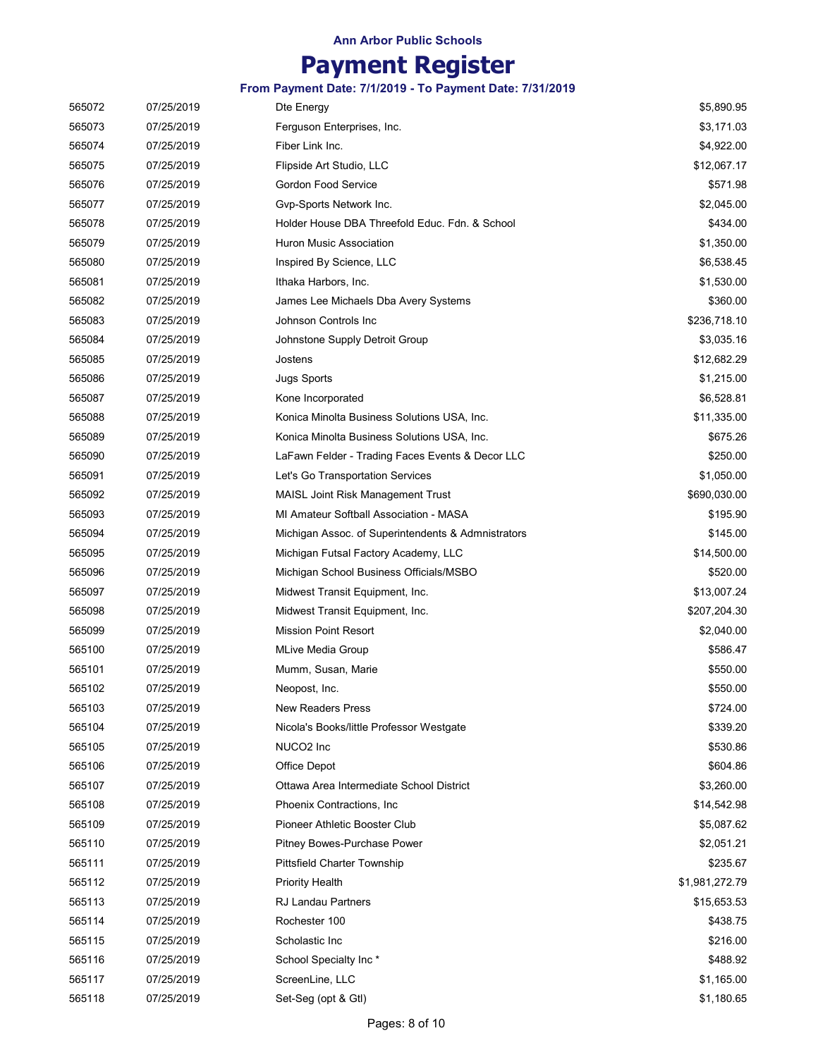# Payment Register

| 565072 | 07/25/2019 | Dte Energy                                         | \$5,890.95     |
|--------|------------|----------------------------------------------------|----------------|
| 565073 | 07/25/2019 | Ferguson Enterprises, Inc.                         | \$3,171.03     |
| 565074 | 07/25/2019 | Fiber Link Inc.                                    | \$4,922.00     |
| 565075 | 07/25/2019 | Flipside Art Studio, LLC                           | \$12,067.17    |
| 565076 | 07/25/2019 | <b>Gordon Food Service</b>                         | \$571.98       |
| 565077 | 07/25/2019 | Gvp-Sports Network Inc.                            | \$2,045.00     |
| 565078 | 07/25/2019 | Holder House DBA Threefold Educ. Fdn. & School     | \$434.00       |
| 565079 | 07/25/2019 | Huron Music Association                            | \$1,350.00     |
| 565080 | 07/25/2019 | Inspired By Science, LLC                           | \$6,538.45     |
| 565081 | 07/25/2019 | Ithaka Harbors, Inc.                               | \$1,530.00     |
| 565082 | 07/25/2019 | James Lee Michaels Dba Avery Systems               | \$360.00       |
| 565083 | 07/25/2019 | Johnson Controls Inc                               | \$236,718.10   |
| 565084 | 07/25/2019 | Johnstone Supply Detroit Group                     | \$3,035.16     |
| 565085 | 07/25/2019 | Jostens                                            | \$12,682.29    |
| 565086 | 07/25/2019 | <b>Jugs Sports</b>                                 | \$1,215.00     |
| 565087 | 07/25/2019 | Kone Incorporated                                  | \$6,528.81     |
| 565088 | 07/25/2019 | Konica Minolta Business Solutions USA, Inc.        | \$11,335.00    |
| 565089 | 07/25/2019 | Konica Minolta Business Solutions USA, Inc.        | \$675.26       |
| 565090 | 07/25/2019 | LaFawn Felder - Trading Faces Events & Decor LLC   | \$250.00       |
| 565091 | 07/25/2019 | Let's Go Transportation Services                   | \$1,050.00     |
| 565092 | 07/25/2019 | <b>MAISL Joint Risk Management Trust</b>           | \$690,030.00   |
| 565093 | 07/25/2019 | MI Amateur Softball Association - MASA             | \$195.90       |
| 565094 | 07/25/2019 | Michigan Assoc. of Superintendents & Admnistrators | \$145.00       |
| 565095 | 07/25/2019 | Michigan Futsal Factory Academy, LLC               | \$14,500.00    |
| 565096 | 07/25/2019 | Michigan School Business Officials/MSBO            | \$520.00       |
| 565097 | 07/25/2019 | Midwest Transit Equipment, Inc.                    | \$13,007.24    |
| 565098 | 07/25/2019 | Midwest Transit Equipment, Inc.                    | \$207,204.30   |
| 565099 | 07/25/2019 | <b>Mission Point Resort</b>                        | \$2,040.00     |
| 565100 | 07/25/2019 | <b>MLive Media Group</b>                           | \$586.47       |
| 565101 | 07/25/2019 | Mumm, Susan, Marie                                 | \$550.00       |
| 565102 | 07/25/2019 | Neopost, Inc.                                      | \$550.00       |
| 565103 | 07/25/2019 | <b>New Readers Press</b>                           | \$724.00       |
| 565104 | 07/25/2019 | Nicola's Books/little Professor Westgate           | \$339.20       |
| 565105 | 07/25/2019 | NUCO <sub>2</sub> Inc                              | \$530.86       |
| 565106 | 07/25/2019 | Office Depot                                       | \$604.86       |
| 565107 | 07/25/2019 | Ottawa Area Intermediate School District           | \$3,260.00     |
| 565108 | 07/25/2019 | Phoenix Contractions, Inc.                         | \$14,542.98    |
| 565109 | 07/25/2019 | Pioneer Athletic Booster Club                      | \$5,087.62     |
| 565110 | 07/25/2019 | Pitney Bowes-Purchase Power                        | \$2,051.21     |
| 565111 | 07/25/2019 | <b>Pittsfield Charter Township</b>                 | \$235.67       |
| 565112 | 07/25/2019 | <b>Priority Health</b>                             | \$1,981,272.79 |
| 565113 | 07/25/2019 | <b>RJ Landau Partners</b>                          | \$15,653.53    |
| 565114 | 07/25/2019 | Rochester 100                                      | \$438.75       |
| 565115 | 07/25/2019 | Scholastic Inc                                     | \$216.00       |
| 565116 | 07/25/2019 | School Specialty Inc*                              | \$488.92       |
| 565117 | 07/25/2019 | ScreenLine, LLC                                    | \$1,165.00     |
| 565118 | 07/25/2019 | Set-Seg (opt & Gtl)                                | \$1,180.65     |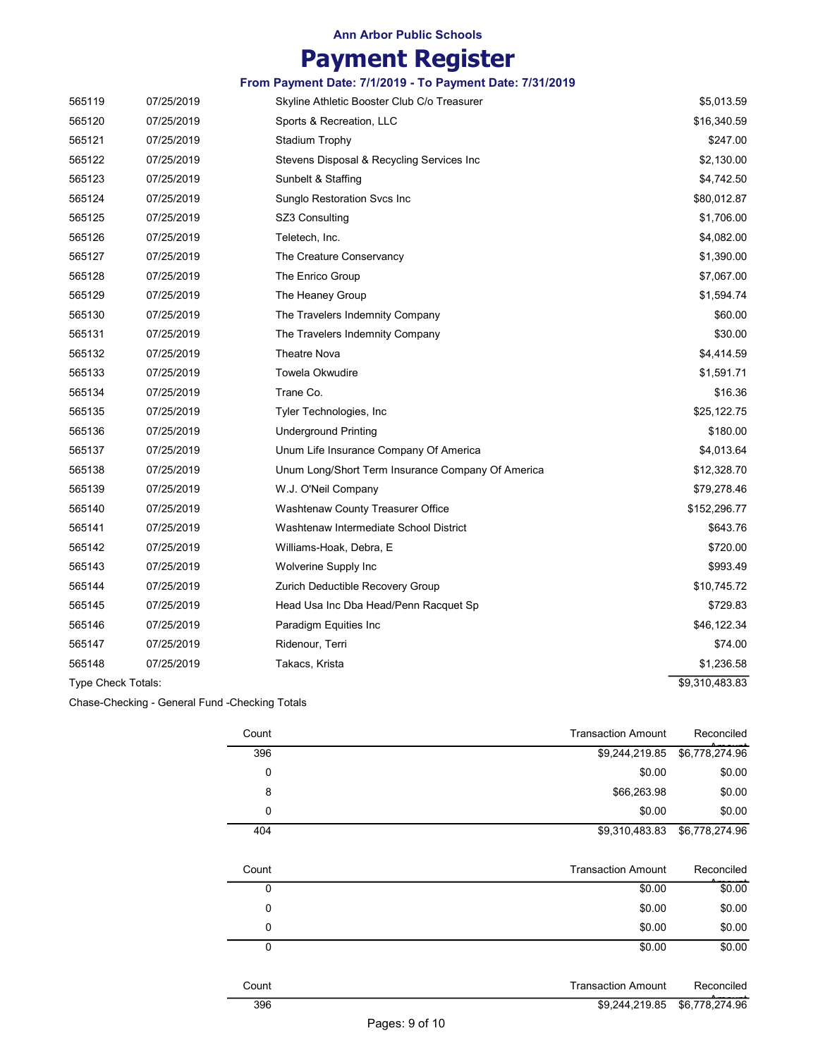# Payment Register

|                    |            | From Payment Date: 7/1/2019 - To Payment Date: 7/31/2019 |                |
|--------------------|------------|----------------------------------------------------------|----------------|
| 565119             | 07/25/2019 | Skyline Athletic Booster Club C/o Treasurer              | \$5,013.59     |
| 565120             | 07/25/2019 | Sports & Recreation, LLC                                 | \$16,340.59    |
| 565121             | 07/25/2019 | Stadium Trophy                                           | \$247.00       |
| 565122             | 07/25/2019 | Stevens Disposal & Recycling Services Inc                | \$2,130.00     |
| 565123             | 07/25/2019 | Sunbelt & Staffing                                       | \$4,742.50     |
| 565124             | 07/25/2019 | <b>Sunglo Restoration Svcs Inc.</b>                      | \$80,012.87    |
| 565125             | 07/25/2019 | SZ3 Consulting                                           | \$1,706.00     |
| 565126             | 07/25/2019 | Teletech, Inc.                                           | \$4,082.00     |
| 565127             | 07/25/2019 | The Creature Conservancy                                 | \$1,390.00     |
| 565128             | 07/25/2019 | The Enrico Group                                         | \$7,067.00     |
| 565129             | 07/25/2019 | The Heaney Group                                         | \$1,594.74     |
| 565130             | 07/25/2019 | The Travelers Indemnity Company                          | \$60.00        |
| 565131             | 07/25/2019 | The Travelers Indemnity Company                          | \$30.00        |
| 565132             | 07/25/2019 | <b>Theatre Nova</b>                                      | \$4,414.59     |
| 565133             | 07/25/2019 | <b>Towela Okwudire</b>                                   | \$1,591.71     |
| 565134             | 07/25/2019 | Trane Co.                                                | \$16.36        |
| 565135             | 07/25/2019 | Tyler Technologies, Inc.                                 | \$25,122.75    |
| 565136             | 07/25/2019 | <b>Underground Printing</b>                              | \$180.00       |
| 565137             | 07/25/2019 | Unum Life Insurance Company Of America                   | \$4,013.64     |
| 565138             | 07/25/2019 | Unum Long/Short Term Insurance Company Of America        | \$12,328.70    |
| 565139             | 07/25/2019 | W.J. O'Neil Company                                      | \$79,278.46    |
| 565140             | 07/25/2019 | Washtenaw County Treasurer Office                        | \$152,296.77   |
| 565141             | 07/25/2019 | Washtenaw Intermediate School District                   | \$643.76       |
| 565142             | 07/25/2019 | Williams-Hoak, Debra, E                                  | \$720.00       |
| 565143             | 07/25/2019 | Wolverine Supply Inc                                     | \$993.49       |
| 565144             | 07/25/2019 | Zurich Deductible Recovery Group                         | \$10,745.72    |
| 565145             | 07/25/2019 | Head Usa Inc Dba Head/Penn Racquet Sp                    | \$729.83       |
| 565146             | 07/25/2019 | Paradigm Equities Inc                                    | \$46,122.34    |
| 565147             | 07/25/2019 | Ridenour, Terri                                          | \$74.00        |
| 565148             | 07/25/2019 | Takacs, Krista                                           | \$1,236.58     |
| Type Check Totals: |            |                                                          | \$9,310,483.83 |

Chase-Checking - General Fund -Checking Totals

| Reconciled     | <b>Transaction Amount</b> | Count       |
|----------------|---------------------------|-------------|
| \$6,778,274.96 | \$9,244,219.85            | 396         |
| \$0.00         | \$0.00                    | 0           |
| \$0.00         | \$66,263.98               | 8           |
| \$0.00         | \$0.00                    | 0           |
| \$6,778,274.96 | \$9,310,483.83            | 404         |
|                |                           |             |
| Reconciled     | <b>Transaction Amount</b> | Count       |
| \$0.00         | \$0.00                    | 0           |
| \$0.00         | \$0.00                    | 0           |
| \$0.00         | \$0.00                    | 0           |
| \$0.00         | \$0.00                    | $\mathbf 0$ |
|                |                           |             |
| Reconciled     | <b>Transaction Amount</b> | Count       |
| \$6,778,274.96 | \$9,244,219.85            | 396         |